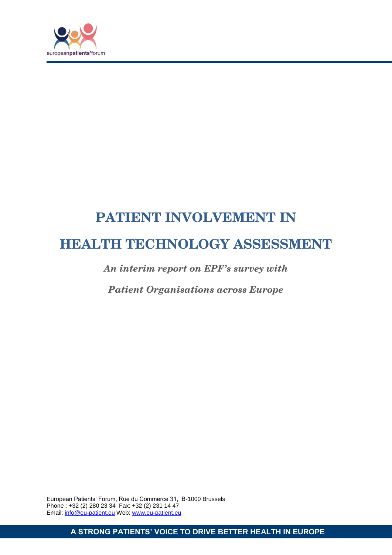

# **PATIENT INVOLVEMENT IN HEALTH TECHNOLOGY ASSESSMENT**

*An interim report on EPF's survey with* 

*Patient Organisations across Europe*

European Patients' Forum, Rue du Commerce 31, B-1000 Brussels Phone : +32 (2) 280 23 34 Fax: +32 (2) 231 14 47 Email: info@eu-patient.eu Web: www.eu-patient.eu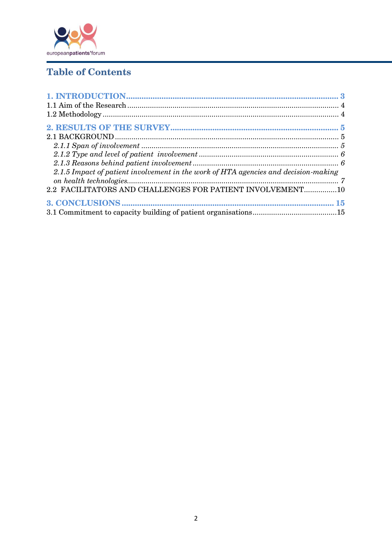

## **Table of Contents**

| 2.1.5 Impact of patient involvement in the work of HTA agencies and decision-making |  |
|-------------------------------------------------------------------------------------|--|
|                                                                                     |  |
| 2.2 FACILITATORS AND CHALLENGES FOR PATIENT INVOLVEMENT10                           |  |
|                                                                                     |  |
|                                                                                     |  |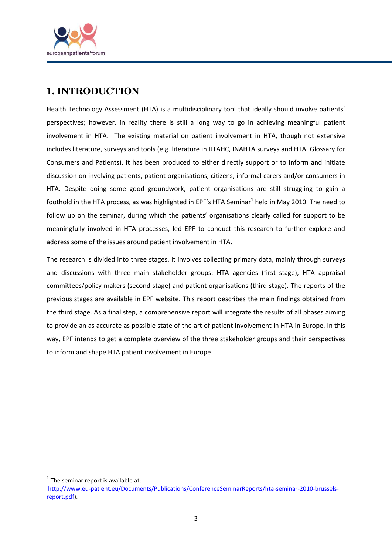

## **1. INTRODUCTION**

Health Technology Assessment (HTA) is a multidisciplinary tool that ideally should involve patients' perspectives; however, in reality there is still a long way to go in achieving meaningful patient involvement in HTA. The existing material on patient involvement in HTA, though not extensive includes literature, surveys and tools (e.g. literature in IJTAHC, INAHTA surveys and HTAi Glossary for Consumers and Patients). It has been produced to either directly support or to inform and initiate discussion on involving patients, patient organisations, citizens, informal carers and/or consumers in HTA. Despite doing some good groundwork, patient organisations are still struggling to gain a foothold in the HTA process, as was highlighted in EPF's HTA Seminar<sup>1</sup> held in May 2010. The need to follow up on the seminar, during which the patients' organisations clearly called for support to be meaningfully involved in HTA processes, led EPF to conduct this research to further explore and address some of the issues around patient involvement in HTA.

The research is divided into three stages. It involves collecting primary data, mainly through surveys and discussions with three main stakeholder groups: HTA agencies (first stage), HTA appraisal committees/policy makers (second stage) and patient organisations (third stage). The reports of the previous stages are available in EPF website. This report describes the main findings obtained from the third stage. As a final step, a comprehensive report will integrate the results of all phases aiming to provide an as accurate as possible state of the art of patient involvement in HTA in Europe. In this way, EPF intends to get a complete overview of the three stakeholder groups and their perspectives to inform and shape HTA patient involvement in Europe.

**.** 

 $<sup>1</sup>$  The seminar report is available at:</sup>

[http://www.eu-patient.eu/Documents/Publications/ConferenceSeminarReports/hta-seminar-2010-brussels](http://www.eu-patient.eu/Documents/Publications/ConferenceSeminarReports/hta-seminar-2010-brussels-report.pdf)[report.pdf\)](http://www.eu-patient.eu/Documents/Publications/ConferenceSeminarReports/hta-seminar-2010-brussels-report.pdf).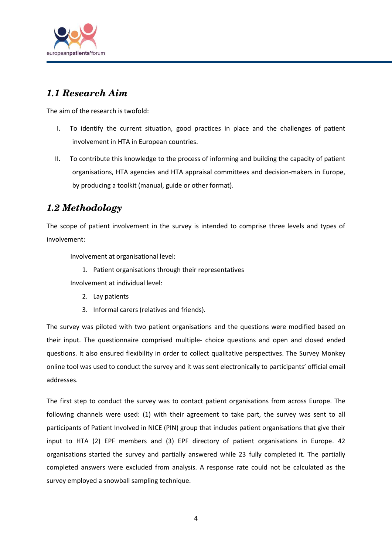

## *1.1 Research Aim*

The aim of the research is twofold:

- I. To identify the current situation, good practices in place and the challenges of patient involvement in HTA in European countries.
- II. To contribute this knowledge to the process of informing and building the capacity of patient organisations, HTA agencies and HTA appraisal committees and decision-makers in Europe, by producing a toolkit (manual, guide or other format).

## *1.2 Methodology*

The scope of patient involvement in the survey is intended to comprise three levels and types of involvement:

Involvement at organisational level:

1. Patient organisations through their representatives Involvement at individual level:

- 2. Lay patients
- 3. Informal carers (relatives and friends).

The survey was piloted with two patient organisations and the questions were modified based on their input. The questionnaire comprised multiple- choice questions and open and closed ended questions. It also ensured flexibility in order to collect qualitative perspectives. The Survey Monkey online tool was used to conduct the survey and it was sent electronically to participants' official email addresses.

The first step to conduct the survey was to contact patient organisations from across Europe. The following channels were used: (1) with their agreement to take part, the survey was sent to all participants of Patient Involved in NICE (PIN) group that includes patient organisations that give their input to HTA (2) EPF members and (3) EPF directory of patient organisations in Europe. 42 organisations started the survey and partially answered while 23 fully completed it. The partially completed answers were excluded from analysis. A response rate could not be calculated as the survey employed a snowball sampling technique.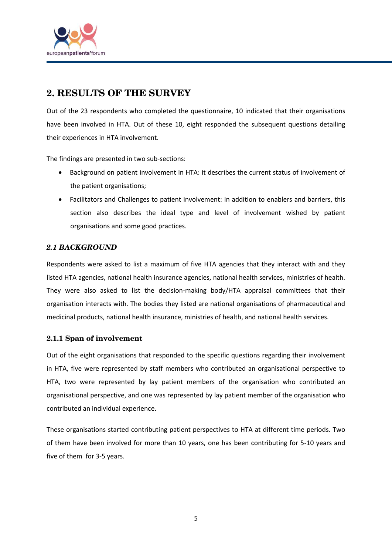

## **2. RESULTS OF THE SURVEY**

Out of the 23 respondents who completed the questionnaire, 10 indicated that their organisations have been involved in HTA. Out of these 10, eight responded the subsequent questions detailing their experiences in HTA involvement.

The findings are presented in two sub-sections:

- Background on patient involvement in HTA: it describes the current status of involvement of the patient organisations;
- Facilitators and Challenges to patient involvement: in addition to enablers and barriers, this section also describes the ideal type and level of involvement wished by patient organisations and some good practices.

#### *2.1 BACKGROUND*

Respondents were asked to list a maximum of five HTA agencies that they interact with and they listed HTA agencies, national health insurance agencies, national health services, ministries of health. They were also asked to list the decision-making body/HTA appraisal committees that their organisation interacts with. The bodies they listed are national organisations of pharmaceutical and medicinal products, national health insurance, ministries of health, and national health services.

#### **2.1.1 Span of involvement**

Out of the eight organisations that responded to the specific questions regarding their involvement in HTA, five were represented by staff members who contributed an organisational perspective to HTA, two were represented by lay patient members of the organisation who contributed an organisational perspective, and one was represented by lay patient member of the organisation who contributed an individual experience.

These organisations started contributing patient perspectives to HTA at different time periods. Two of them have been involved for more than 10 years, one has been contributing for 5-10 years and five of them for 3-5 years.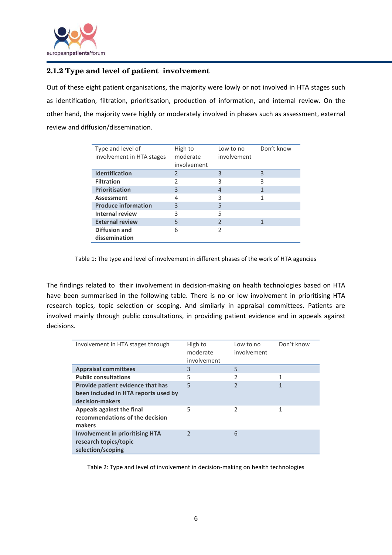

#### **2.1.2 Type and level of patient involvement**

Out of these eight patient organisations, the majority were lowly or not involved in HTA stages such as identification, filtration, prioritisation, production of information, and internal review. On the other hand, the majority were highly or moderately involved in phases such as assessment, external review and diffusion/dissemination.

| Type and level of<br>involvement in HTA stages | High to<br>moderate<br>involvement | Low to no<br>involvement | Don't know |
|------------------------------------------------|------------------------------------|--------------------------|------------|
| <b>Identification</b>                          | 2                                  | 3                        | 3          |
| <b>Filtration</b>                              | $\mathfrak{p}$                     | 3                        | 3          |
| <b>Prioritisation</b>                          | 3                                  | 4                        |            |
| <b>Assessment</b>                              | 4                                  | 3                        |            |
| <b>Produce information</b>                     | 3                                  | 5                        |            |
| Internal review                                | 3                                  | 5                        |            |
| <b>External review</b>                         | 5                                  | C                        |            |
| Diffusion and                                  | 6                                  | 2                        |            |
| dissemination                                  |                                    |                          |            |

Table 1: The type and level of involvement in different phases of the work of HTA agencies

The findings related to their involvement in decision-making on health technologies based on HTA have been summarised in the following table. There is no or low involvement in prioritising HTA research topics, topic selection or scoping. And similarly in appraisal committees. Patients are involved mainly through public consultations, in providing patient evidence and in appeals against decisions.

| Involvement in HTA stages through                                                            | High to<br>moderate<br>involvement | Low to no<br>involvement | Don't know |
|----------------------------------------------------------------------------------------------|------------------------------------|--------------------------|------------|
| <b>Appraisal committees</b>                                                                  | 3                                  | 5                        |            |
| <b>Public consultations</b>                                                                  | 5                                  | 2                        | 1          |
| Provide patient evidence that has<br>been included in HTA reports used by<br>decision-makers | 5                                  | C                        | 1          |
| Appeals against the final<br>recommendations of the decision<br>makers                       | 5                                  | 2                        |            |
| <b>Involvement in prioritising HTA</b><br>research topics/topic<br>selection/scoping         |                                    | 6                        |            |

Table 2: Type and level of involvement in decision-making on health technologies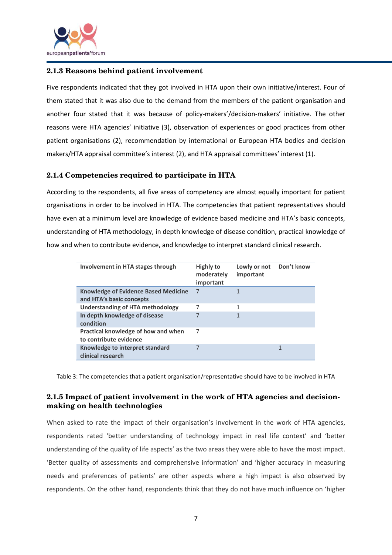

#### **2.1.3 Reasons behind patient involvement**

Five respondents indicated that they got involved in HTA upon their own initiative/interest. Four of them stated that it was also due to the demand from the members of the patient organisation and another four stated that it was because of policy-makers'/decision-makers' initiative. The other reasons were HTA agencies' initiative (3), observation of experiences or good practices from other patient organisations (2), recommendation by international or European HTA bodies and decision makers/HTA appraisal committee's interest (2), and HTA appraisal committees' interest (1).

#### **2.1.4 Competencies required to participate in HTA**

According to the respondents, all five areas of competency are almost equally important for patient organisations in order to be involved in HTA. The competencies that patient representatives should have even at a minimum level are knowledge of evidence based medicine and HTA's basic concepts, understanding of HTA methodology, in depth knowledge of disease condition, practical knowledge of how and when to contribute evidence, and knowledge to interpret standard clinical research.

| Involvement in HTA stages through                                       | <b>Highly to</b><br>moderately<br>important | Lowly or not<br>important | Don't know |
|-------------------------------------------------------------------------|---------------------------------------------|---------------------------|------------|
| <b>Knowledge of Evidence Based Medicine</b><br>and HTA's basic concepts | 7                                           | 1                         |            |
| <b>Understanding of HTA methodology</b>                                 | 7                                           | 1                         |            |
| In depth knowledge of disease<br>condition                              | 7                                           | $\mathbf{1}$              |            |
| Practical knowledge of how and when<br>to contribute evidence           | 7                                           |                           |            |
| Knowledge to interpret standard<br>clinical research                    |                                             |                           |            |

Table 3: The competencies that a patient organisation/representative should have to be involved in HTA

#### **2.1.5 Impact of patient involvement in the work of HTA agencies and decisionmaking on health technologies**

When asked to rate the impact of their organisation's involvement in the work of HTA agencies, respondents rated 'better understanding of technology impact in real life context' and 'better understanding of the quality of life aspects' as the two areas they were able to have the most impact. 'Better quality of assessments and comprehensive information' and 'higher accuracy in measuring needs and preferences of patients' are other aspects where a high impact is also observed by respondents. On the other hand, respondents think that they do not have much influence on 'higher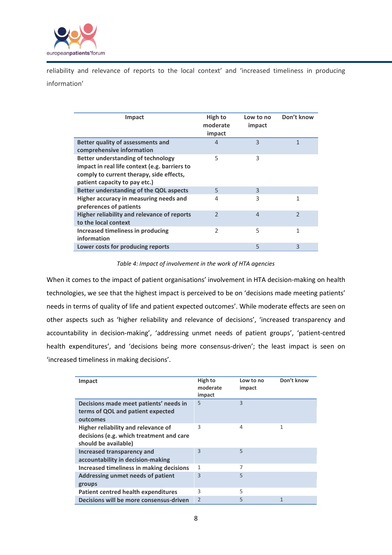

reliability and relevance of reports to the local context' and 'increased timeliness in producing information'

| Impact                                                                                                                                                                  | High to<br>moderate<br>impact | Low to no<br>impact | Don't know               |
|-------------------------------------------------------------------------------------------------------------------------------------------------------------------------|-------------------------------|---------------------|--------------------------|
| Better quality of assessments and<br>comprehensive information                                                                                                          | $\overline{4}$                | 3                   | 1                        |
| <b>Better understanding of technology</b><br>impact in real life context (e.g. barriers to<br>comply to current therapy, side effects,<br>patient capacity to pay etc.) | 5                             | 3                   |                          |
| Better understanding of the QOL aspects                                                                                                                                 | 5                             | 3                   |                          |
| Higher accuracy in measuring needs and<br>preferences of patients                                                                                                       | 4                             | 3                   | 1                        |
| Higher reliability and relevance of reports<br>to the local context                                                                                                     | $\overline{2}$                | $\overline{4}$      | $\overline{\phantom{a}}$ |
| Increased timeliness in producing<br>information                                                                                                                        | $\overline{2}$                | 5                   | 1                        |
| Lower costs for producing reports                                                                                                                                       |                               | 5                   | 3                        |

#### *Table 4: Impact of involvement in the work of HTA agencies*

When it comes to the impact of patient organisations' involvement in HTA decision-making on health technologies, we see that the highest impact is perceived to be on 'decisions made meeting patients' needs in terms of quality of life and patient expected outcomes'. While moderate effects are seen on other aspects such as 'higher reliability and relevance of decisions', 'increased transparency and accountability in decision-making', 'addressing unmet needs of patient groups', 'patient-centred health expenditures', and 'decisions being more consensus-driven'; the least impact is seen on 'increased timeliness in making decisions'.

| Impact                                                                                                  | High to<br>moderate<br>impact | Low to no<br>impact | Don't know |
|---------------------------------------------------------------------------------------------------------|-------------------------------|---------------------|------------|
| Decisions made meet patients' needs in<br>terms of QOL and patient expected<br>outcomes                 | 5                             | 3                   |            |
| Higher reliability and relevance of<br>decisions (e.g. which treatment and care<br>should be available) | 3                             | 4                   | 1          |
| Increased transparency and<br>accountability in decision-making                                         | 3                             | 5                   |            |
| Increased timeliness in making decisions                                                                | 1                             | 7                   |            |
| Addressing unmet needs of patient<br>groups                                                             | 3                             | 5                   |            |
| Patient centred health expenditures                                                                     | 3                             | 5                   |            |
| Decisions will be more consensus-driven                                                                 | $\overline{2}$                | 5                   | 1          |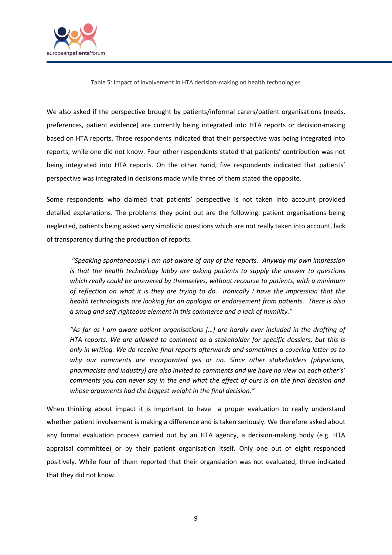

Table 5: Impact of involvement in HTA decision-making on health technologies

We also asked if the perspective brought by patients/informal carers/patient organisations (needs, preferences, patient evidence) are currently being integrated into HTA reports or decision-making based on HTA reports. Three respondents indicated that their perspective was being integrated into reports, while one did not know. Four other respondents stated that patients' contribution was not being integrated into HTA reports. On the other hand, five respondents indicated that patients' perspective was integrated in decisions made while three of them stated the opposite.

Some respondents who claimed that patients' perspective is not taken into account provided detailed explanations. The problems they point out are the following: patient organisations being neglected, patients being asked very simplistic questions which are not really taken into account, lack of transparency during the production of reports.

*"Speaking spontaneously I am not aware of any of the reports. Anyway my own impression is that the health technology lobby are asking patients to supply the answer to questions which really could be answered by themselves, without recourse to patients, with a minimum of reflection on what it is they are trying to do. Ironically I have the impression that the health technologists are looking for an apologia or endorsement from patients. There is also a smug and self-righteous element in this commerce and a lack of humility."*

*"As far as I am aware patient organisations […] are hardly ever included in the drafting of HTA reports. We are allowed to comment as a stakeholder for specific dossiers, but this is only in writing. We do receive final reports afterwards and sometimes a covering letter as to why our comments are incorporated yes or no. Since other stakeholders (physicians, pharmacists and industry) are also invited to comments and we have no view on each other's' comments you can never say in the end what the effect of ours is on the final decision and whose arguments had the biggest weight in the final decision."*

When thinking about impact it is important to have a proper evaluation to really understand whether patient involvement is making a difference and is taken seriously. We therefore asked about any formal evaluation process carried out by an HTA agency, a decision-making body (e.g. HTA appraisal committee) or by their patient organisation itself. Only one out of eight responded positively. While four of them reported that their organsiation was not evaluated, three indicated that they did not know.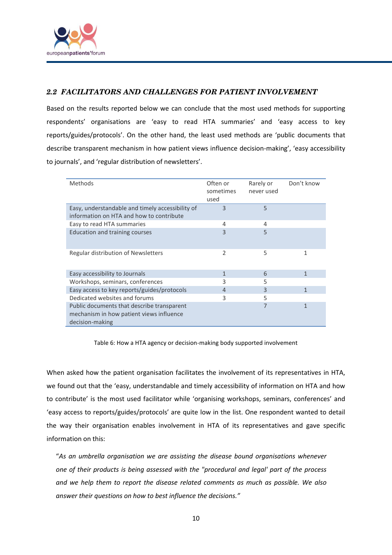

### *2.2 FACILITATORS AND CHALLENGES FOR PATIENT INVOLVEMENT*

Based on the results reported below we can conclude that the most used methods for supporting respondents' organisations are 'easy to read HTA summaries' and 'easy access to key reports/guides/protocols'. On the other hand, the least used methods are 'public documents that describe transparent mechanism in how patient views influence decision-making', 'easy accessibility to journals', and 'regular distribution of newsletters'.

| Methods                                                                                                   | Often or<br>sometimes<br>used | Rarely or<br>never used | Don't know |
|-----------------------------------------------------------------------------------------------------------|-------------------------------|-------------------------|------------|
| Easy, understandable and timely accessibility of<br>information on HTA and how to contribute              | $\overline{3}$                | 5                       |            |
| Easy to read HTA summaries                                                                                | 4                             | 4                       |            |
| Education and training courses                                                                            | $\overline{3}$                | 5                       |            |
| Regular distribution of Newsletters                                                                       | 2                             | 5                       | 1          |
| Easy accessibility to Journals                                                                            | 1                             | 6                       | 1          |
| Workshops, seminars, conferences                                                                          | 3                             | 5                       |            |
| Easy access to key reports/guides/protocols                                                               | 4                             | 3                       | 1          |
| Dedicated websites and forums                                                                             | 3                             | 5                       |            |
| Public documents that describe transparent<br>mechanism in how patient views influence<br>decision-making |                               | 7                       | 1          |

Table 6: How a HTA agency or decision-making body supported involvement

When asked how the patient organisation facilitates the involvement of its representatives in HTA, we found out that the 'easy, understandable and timely accessibility of information on HTA and how to contribute' is the most used facilitator while 'organising workshops, seminars, conferences' and 'easy access to reports/guides/protocols' are quite low in the list. One respondent wanted to detail the way their organisation enables involvement in HTA of its representatives and gave specific information on this:

"*As an umbrella organisation we are assisting the disease bound organisations whenever one of their products is being assessed with the "procedural and legal' part of the process and we help them to report the disease related comments as much as possible. We also answer their questions on how to best influence the decisions."*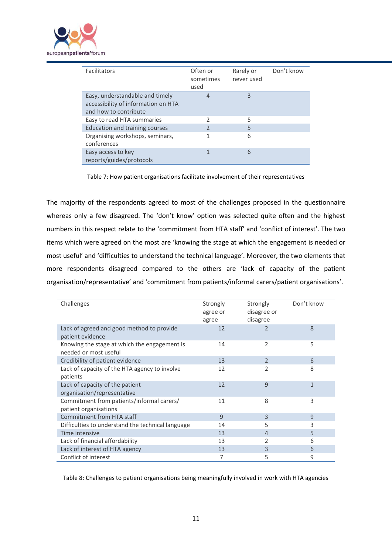

| Facilitators                                   | Often or<br>sometimes<br>used | Rarely or<br>never used | Don't know |
|------------------------------------------------|-------------------------------|-------------------------|------------|
| Easy, understandable and timely                | 4                             | 3                       |            |
| accessibility of information on HTA            |                               |                         |            |
| and how to contribute                          |                               |                         |            |
| Easy to read HTA summaries                     | $\mathcal{P}$                 | 5                       |            |
| Education and training courses                 | $\mathfrak{D}$                | 5                       |            |
| Organising workshops, seminars,<br>conferences |                               | 6                       |            |
| Easy access to key<br>reports/guides/protocols | 1                             | 6                       |            |

Table 7: How patient organisations facilitate involvement of their representatives

The majority of the respondents agreed to most of the challenges proposed in the questionnaire whereas only a few disagreed. The 'don't know' option was selected quite often and the highest numbers in this respect relate to the 'commitment from HTA staff' and 'conflict of interest'. The two items which were agreed on the most are 'knowing the stage at which the engagement is needed or most useful' and 'difficulties to understand the technical language'. Moreover, the two elements that more respondents disagreed compared to the others are 'lack of capacity of the patient organisation/representative' and 'commitment from patients/informal carers/patient organisations'.

| Challenges                                                            | Strongly<br>agree or<br>agree | Strongly<br>disagree or<br>disagree | Don't know   |
|-----------------------------------------------------------------------|-------------------------------|-------------------------------------|--------------|
| Lack of agreed and good method to provide<br>patient evidence         | 12                            | 2                                   | 8            |
| Knowing the stage at which the engagement is<br>needed or most useful | 14                            | 2                                   | 5            |
| Credibility of patient evidence                                       | 13                            | 2                                   | 6            |
| Lack of capacity of the HTA agency to involve<br>patients             | 12                            | 2                                   | 8            |
| Lack of capacity of the patient<br>organisation/representative        | 12                            | 9                                   | $\mathbf{1}$ |
| Commitment from patients/informal carers/<br>patient organisations    | 11                            | 8                                   | 3            |
| <b>Commitment from HTA staff</b>                                      | 9                             | 3                                   | 9            |
| Difficulties to understand the technical language                     | 14                            | 5                                   | 3            |
| Time intensive                                                        | 13                            | 4                                   | 5            |
| Lack of financial affordability                                       | 13                            | 2                                   | 6            |
| Lack of interest of HTA agency                                        | 13                            | 3                                   | 6            |
| Conflict of interest                                                  | 7                             | 5                                   | 9            |

Table 8: Challenges to patient organisations being meaningfully involved in work with HTA agencies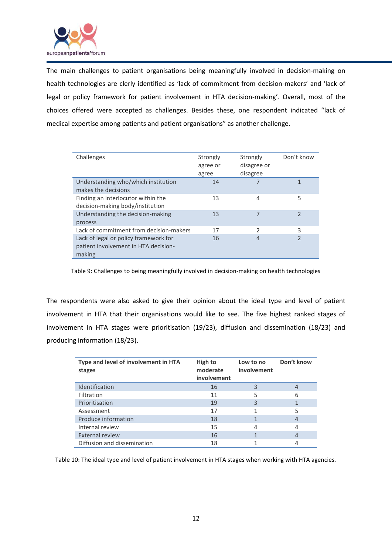

The main challenges to patient organisations being meaningfully involved in decision-making on health technologies are clerly identified as 'lack of commitment from decision-makers' and 'lack of legal or policy framework for patient involvement in HTA decision-making'. Overall, most of the choices offered were accepted as challenges. Besides these, one respondent indicated "lack of medical expertise among patients and patient organisations" as another challenge.

| Challenges                              | Strongly<br>agree or | Strongly<br>disagree or | Don't know               |
|-----------------------------------------|----------------------|-------------------------|--------------------------|
|                                         | agree                | disagree                |                          |
| Understanding who/which institution     | 14                   |                         | 1                        |
| makes the decisions                     |                      |                         |                          |
| Finding an interlocutor within the      | 13                   | 4                       | 5                        |
| decision-making body/institution        |                      |                         |                          |
| Understanding the decision-making       | 13                   |                         | $\overline{\phantom{a}}$ |
| process                                 |                      |                         |                          |
| Lack of commitment from decision-makers | 17                   | 2                       | 3                        |
| Lack of legal or policy framework for   | 16                   | 4                       | $\mathcal{P}$            |
| patient involvement in HTA decision-    |                      |                         |                          |
| making                                  |                      |                         |                          |

Table 9: Challenges to being meaningfully involved in decision-making on health technologies

The respondents were also asked to give their opinion about the ideal type and level of patient involvement in HTA that their organisations would like to see. The five highest ranked stages of involvement in HTA stages were prioritisation (19/23), diffusion and dissemination (18/23) and producing information (18/23).

| Type and level of involvement in HTA<br>stages | High to<br>moderate<br>involvement | Low to no<br>involvement | Don't know     |
|------------------------------------------------|------------------------------------|--------------------------|----------------|
| Identification                                 | 16                                 | 3                        | 4              |
| Filtration                                     | 11                                 | 5                        | 6              |
| Prioritisation                                 | 19                                 | 3                        |                |
| Assessment                                     | 17                                 |                          | 5              |
| Produce information                            | 18                                 |                          | $\overline{4}$ |
| Internal review                                | 15                                 |                          | 4              |
| <b>External review</b>                         | 16                                 |                          | 4              |
| Diffusion and dissemination                    | 18                                 |                          | 4              |

Table 10: The ideal type and level of patient involvement in HTA stages when working with HTA agencies.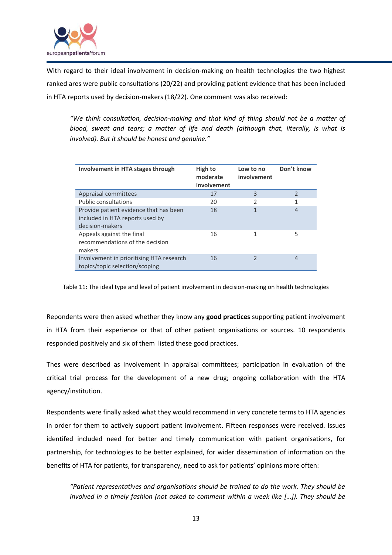

With regard to their ideal involvement in decision-making on health technologies the two highest ranked ares were public consultations (20/22) and providing patient evidence that has been included in HTA reports used by decision-makers (18/22). One comment was also received:

*"We think consultation, decision-making and that kind of thing should not be a matter of blood, sweat and tears; a matter of life and death (although that, literally, is what is involved). But it should be honest and genuine."*

| Involvement in HTA stages through                                                            | High to<br>moderate<br>involvement | Low to no<br>involvement | Don't know |
|----------------------------------------------------------------------------------------------|------------------------------------|--------------------------|------------|
| Appraisal committees                                                                         | 17                                 | 3                        | 2          |
| <b>Public consultations</b>                                                                  | 20                                 | 2                        | 1          |
| Provide patient evidence that has been<br>included in HTA reports used by<br>decision-makers | 18                                 | 1                        | 4          |
| Appeals against the final<br>recommendations of the decision<br>makers                       | 16                                 | 1                        | 5          |
| Involvement in prioritising HTA research<br>topics/topic selection/scoping                   | 16                                 |                          | 4          |

Table 11: The ideal type and level of patient involvement in decision-making on health technologies

Repondents were then asked whether they know any **good practices** supporting patient involvement in HTA from their experience or that of other patient organisations or sources. 10 respondents responded positively and six of them listed these good practices.

Thes were described as involvement in appraisal committees; participation in evaluation of the critical trial process for the development of a new drug; ongoing collaboration with the HTA agency/institution.

Respondents were finally asked what they would recommend in very concrete terms to HTA agencies in order for them to actively support patient involvement. Fifteen responses were received. Issues identifed included need for better and timely communication with patient organisations, for partnership, for technologies to be better explained, for wider dissemination of information on the benefits of HTA for patients, for transparency, need to ask for patients' opinions more often:

*"Patient representatives and organisations should be trained to do the work. They should be involved in a timely fashion (not asked to comment within a week like […]). They should be*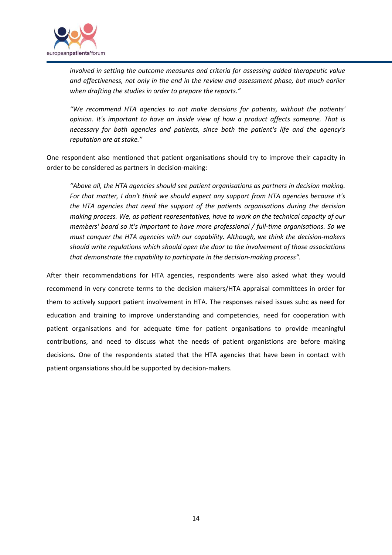

*involved in setting the outcome measures and criteria for assessing added therapeutic value and effectiveness, not only in the end in the review and assessment phase, but much earlier when drafting the studies in order to prepare the reports."*

*"We recommend HTA agencies to not make decisions for patients, without the patients' opinion. It's important to have an inside view of how a product affects someone. That is necessary for both agencies and patients, since both the patient's life and the agency's reputation are at stake."*

One respondent also mentioned that patient organisations should try to improve their capacity in order to be considered as partners in decision-making:

*"Above all, the HTA agencies should see patient organisations as partners in decision making. For that matter, I don't think we should expect any support from HTA agencies because it's the HTA agencies that need the support of the patients organisations during the decision making process. We, as patient representatives, have to work on the technical capacity of our members' board so it's important to have more professional / full-time organisations. So we must conquer the HTA agencies with our capability. Although, we think the decision-makers should write regulations which should open the door to the involvement of those associations that demonstrate the capability to participate in the decision-making process".*

After their recommendations for HTA agencies, respondents were also asked what they would recommend in very concrete terms to the decision makers/HTA appraisal committees in order for them to actively support patient involvement in HTA. The responses raised issues suhc as need for education and training to improve understanding and competencies, need for cooperation with patient organisations and for adequate time for patient organisations to provide meaningful contributions, and need to discuss what the needs of patient organistions are before making decisions. One of the respondents stated that the HTA agencies that have been in contact with patient organsiations should be supported by decision-makers.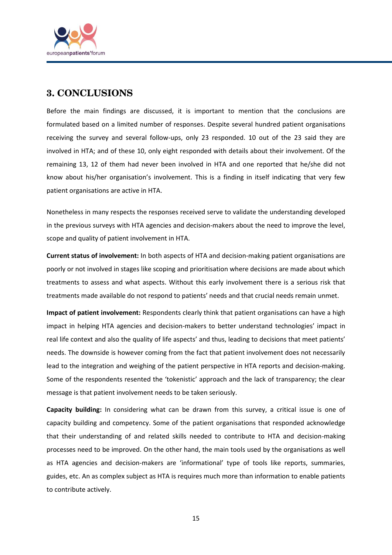

## **3. CONCLUSIONS**

Before the main findings are discussed, it is important to mention that the conclusions are formulated based on a limited number of responses. Despite several hundred patient organisations receiving the survey and several follow-ups, only 23 responded. 10 out of the 23 said they are involved in HTA; and of these 10, only eight responded with details about their involvement. Of the remaining 13, 12 of them had never been involved in HTA and one reported that he/she did not know about his/her organisation's involvement. This is a finding in itself indicating that very few patient organisations are active in HTA.

Nonetheless in many respects the responses received serve to validate the understanding developed in the previous surveys with HTA agencies and decision-makers about the need to improve the level, scope and quality of patient involvement in HTA.

**Current status of involvement:** In both aspects of HTA and decision-making patient organisations are poorly or not involved in stages like scoping and prioritisation where decisions are made about which treatments to assess and what aspects. Without this early involvement there is a serious risk that treatments made available do not respond to patients' needs and that crucial needs remain unmet.

**Impact of patient involvement:** Respondents clearly think that patient organisations can have a high impact in helping HTA agencies and decision-makers to better understand technologies' impact in real life context and also the quality of life aspects' and thus, leading to decisions that meet patients' needs. The downside is however coming from the fact that patient involvement does not necessarily lead to the integration and weighing of the patient perspective in HTA reports and decision-making. Some of the respondents resented the 'tokenistic' approach and the lack of transparency; the clear message is that patient involvement needs to be taken seriously.

**Capacity building:** In considering what can be drawn from this survey, a critical issue is one of capacity building and competency. Some of the patient organisations that responded acknowledge that their understanding of and related skills needed to contribute to HTA and decision-making processes need to be improved. On the other hand, the main tools used by the organisations as well as HTA agencies and decision-makers are 'informational' type of tools like reports, summaries, guides, etc. An as complex subject as HTA is requires much more than information to enable patients to contribute actively.